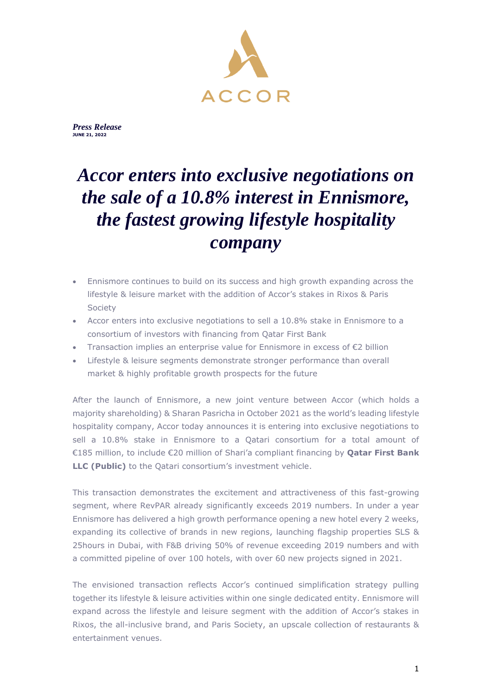

*Press Release* **MARCH XX, 2022 JUNE 21, 2022**

# *Accor enters into exclusive negotiations on the sale of a 10.8% interest in Ennismore, the fastest growing lifestyle hospitality company*

- Ennismore continues to build on its success and high growth expanding across the lifestyle & leisure market with the addition of Accor's stakes in Rixos & Paris Society
- Accor enters into exclusive negotiations to sell a 10.8% stake in Ennismore to a consortium of investors with financing from Qatar First Bank
- Transaction implies an enterprise value for Ennismore in excess of  $\epsilon$ 2 billion
- Lifestyle & leisure segments demonstrate stronger performance than overall market & highly profitable growth prospects for the future

After the launch of Ennismore, a new joint venture between Accor (which holds a majority shareholding) & Sharan Pasricha in October 2021 as the world's leading lifestyle hospitality company, Accor today announces it is entering into exclusive negotiations to sell a 10.8% stake in Ennismore to a Qatari consortium for a total amount of €185 million, to include €20 million of Shari'a compliant financing by **Qatar First Bank LLC (Public)** to the Qatari consortium's investment vehicle.

This transaction demonstrates the excitement and attractiveness of this fast-growing segment, where RevPAR already significantly exceeds 2019 numbers. In under a year Ennismore has delivered a high growth performance opening a new hotel every 2 weeks, expanding its collective of brands in new regions, launching flagship properties SLS & 25hours in Dubai, with F&B driving 50% of revenue exceeding 2019 numbers and with a committed pipeline of over 100 hotels, with over 60 new projects signed in 2021.

The envisioned transaction reflects Accor's continued simplification strategy pulling together its lifestyle & leisure activities within one single dedicated entity. Ennismore will expand across the lifestyle and leisure segment with the addition of Accor's stakes in Rixos, the all-inclusive brand, and Paris Society, an upscale collection of restaurants & entertainment venues.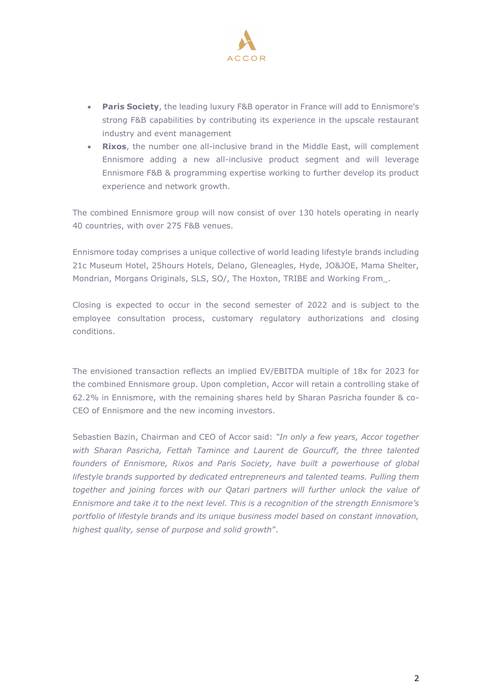

- **Paris Society**, the leading luxury F&B operator in France will add to Ennismore's strong F&B capabilities by contributing its experience in the upscale restaurant industry and event management
- **Rixos**, the number one all-inclusive brand in the Middle East, will complement Ennismore adding a new all-inclusive product segment and will leverage Ennismore F&B & programming expertise working to further develop its product experience and network growth.

The combined Ennismore group will now consist of over 130 hotels operating in nearly 40 countries, with over 275 F&B venues.

Ennismore today comprises a unique collective of world leading lifestyle brands including 21c Museum Hotel, 25hours Hotels, Delano, Gleneagles, Hyde, JO&JOE, Mama Shelter, Mondrian, Morgans Originals, SLS, SO/, The Hoxton, TRIBE and Working From\_.

Closing is expected to occur in the second semester of 2022 and is subject to the employee consultation process, customary regulatory authorizations and closing conditions.

The envisioned transaction reflects an implied EV/EBITDA multiple of 18x for 2023 for the combined Ennismore group. Upon completion, Accor will retain a controlling stake of 62.2% in Ennismore, with the remaining shares held by Sharan Pasricha founder & co-CEO of Ennismore and the new incoming investors.

Sebastien Bazin, Chairman and CEO of Accor said: *"In only a few years, Accor together with Sharan Pasricha, Fettah Tamince and Laurent de Gourcuff, the three talented founders of Ennismore, Rixos and Paris Society, have built a powerhouse of global lifestyle brands supported by dedicated entrepreneurs and talented teams. Pulling them together and joining forces with our Qatari partners will further unlock the value of Ennismore and take it to the next level. This is a recognition of the strength Ennismore's portfolio of lifestyle brands and its unique business model based on constant innovation, highest quality, sense of purpose and solid growth*".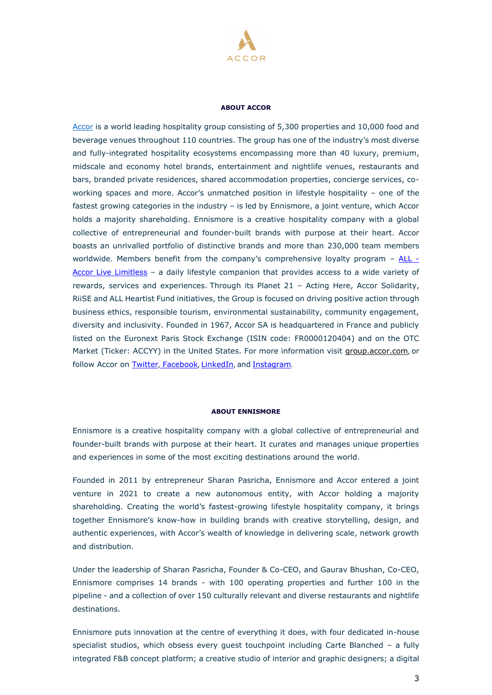

#### **ABOUT ACCOR**

[Accor](https://group.accor.com/fr-FR) is a world leading hospitality group consisting of 5,300 properties and 10,000 food and beverage venues throughout 110 countries. The group has one of the industry's most diverse and fully-integrated hospitality ecosystems encompassing more than 40 luxury, premium, midscale and economy hotel brands, entertainment and nightlife venues, restaurants and bars, branded private residences, shared accommodation properties, concierge services, coworking spaces and more. Accor's unmatched position in lifestyle hospitality – one of the fastest growing categories in the industry – is led by Ennismore, a joint venture, which Accor holds a majority shareholding. Ennismore is a creative hospitality company with a global collective of entrepreneurial and founder-built brands with purpose at their heart. Accor boasts an unrivalled portfolio of distinctive brands and more than 230,000 team members worldwide. Members benefit from the company's comprehensive loyalty program – [ALL -](https://all.accor.com/usa/index.en.shtml) [Accor Live Limitless](https://all.accor.com/usa/index.en.shtml) – a daily lifestyle companion that provides access to a wide variety of rewards, services and experiences. Through its Planet 21 – Acting Here, Accor Solidarity, RiiSE and ALL Heartist Fund initiatives, the Group is focused on driving positive action through business ethics, responsible tourism, environmental sustainability, community engagement, diversity and inclusivity. Founded in 1967, Accor SA is headquartered in France and publicly listed on the Euronext Paris Stock Exchange (ISIN code: FR0000120404) and on the OTC Market (Ticker: ACCYY) in the United States. For more information visit [group.accor.com](https://group.accor.com/en/group), or follow Accor on [Twitter](https://twitter.com/Accor), [Facebook](https://www.facebook.com/accorFR/), [LinkedIn](https://www.linkedin.com/company/accor/), and [Instagram](https://www.instagram.com/accor).

#### **ABOUT ENNISMORE**

Ennismore is a creative hospitality company with a global collective of entrepreneurial and founder-built brands with purpose at their heart. It curates and manages unique properties and experiences in some of the most exciting destinations around the world.

Founded in 2011 by entrepreneur Sharan Pasricha, Ennismore and Accor entered a joint venture in 2021 to create a new autonomous entity, with Accor holding a majority shareholding. Creating the world's fastest-growing lifestyle hospitality company, it brings together Ennismore's know-how in building brands with creative storytelling, design, and authentic experiences, with Accor's wealth of knowledge in delivering scale, network growth and distribution.

Under the leadership of Sharan Pasricha, Founder & Co-CEO, and Gaurav Bhushan, Co-CEO, Ennismore comprises 14 brands - with 100 operating properties and further 100 in the pipeline - and a collection of over 150 culturally relevant and diverse restaurants and nightlife destinations.

Ennismore puts innovation at the centre of everything it does, with four dedicated in-house specialist studios, which obsess every guest touchpoint including Carte Blanched – a fully integrated F&B concept platform; a creative studio of interior and graphic designers; a digital